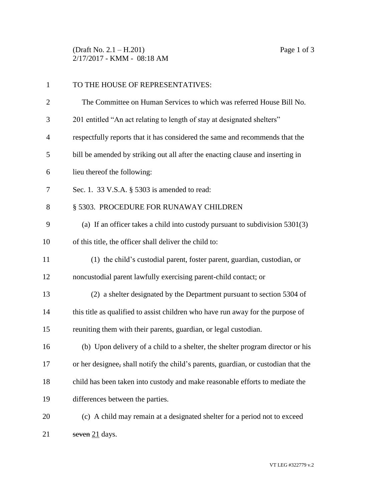(Draft No. 2.1 – H.201) Page 1 of 3 2/17/2017 - KMM - 08:18 AM

| $\mathbf{1}$   | TO THE HOUSE OF REPRESENTATIVES:                                                   |
|----------------|------------------------------------------------------------------------------------|
| $\overline{2}$ | The Committee on Human Services to which was referred House Bill No.               |
| 3              | 201 entitled "An act relating to length of stay at designated shelters"            |
| $\overline{4}$ | respectfully reports that it has considered the same and recommends that the       |
| 5              | bill be amended by striking out all after the enacting clause and inserting in     |
| 6              | lieu thereof the following:                                                        |
| 7              | Sec. 1. 33 V.S.A. § 5303 is amended to read:                                       |
| 8              | § 5303. PROCEDURE FOR RUNAWAY CHILDREN                                             |
| 9              | (a) If an officer takes a child into custody pursuant to subdivision $5301(3)$     |
| 10             | of this title, the officer shall deliver the child to:                             |
| 11             | (1) the child's custodial parent, foster parent, guardian, custodian, or           |
| 12             | noncustodial parent lawfully exercising parent-child contact; or                   |
| 13             | (2) a shelter designated by the Department pursuant to section 5304 of             |
| 14             | this title as qualified to assist children who have run away for the purpose of    |
| 15             | reuniting them with their parents, guardian, or legal custodian.                   |
| 16             | (b) Upon delivery of a child to a shelter, the shelter program director or his     |
| 17             | or her designee, shall notify the child's parents, guardian, or custodian that the |
| 18             | child has been taken into custody and make reasonable efforts to mediate the       |
| 19             | differences between the parties.                                                   |
| 20             | (c) A child may remain at a designated shelter for a period not to exceed          |
| 21             | seven $21$ days.                                                                   |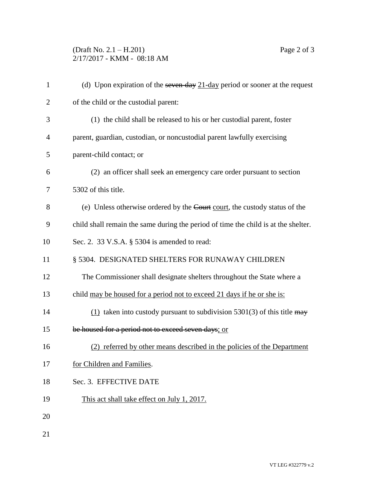## (Draft No. 2.1 – H.201) Page 2 of 3 2/17/2017 - KMM - 08:18 AM

| $\mathbf{1}$   | (d) Upon expiration of the seven day $21$ -day period or sooner at the request     |
|----------------|------------------------------------------------------------------------------------|
| $\overline{2}$ | of the child or the custodial parent:                                              |
| 3              | (1) the child shall be released to his or her custodial parent, foster             |
| 4              | parent, guardian, custodian, or noncustodial parent lawfully exercising            |
| 5              | parent-child contact; or                                                           |
| 6              | (2) an officer shall seek an emergency care order pursuant to section              |
| 7              | 5302 of this title.                                                                |
| 8              | (e) Unless otherwise ordered by the Court court, the custody status of the         |
| 9              | child shall remain the same during the period of time the child is at the shelter. |
| 10             | Sec. 2. 33 V.S.A. § 5304 is amended to read:                                       |
| 11             | § 5304. DESIGNATED SHELTERS FOR RUNAWAY CHILDREN                                   |
| 12             | The Commissioner shall designate shelters throughout the State where a             |
| 13             | child may be housed for a period not to exceed 21 days if he or she is:            |
| 14             | $(1)$ taken into custody pursuant to subdivision 5301(3) of this title may         |
| 15             | be housed for a period not to exceed seven days; or                                |
| 16             | (2) referred by other means described in the policies of the Department            |
| 17             | for Children and Families.                                                         |
| 18             | Sec. 3. EFFECTIVE DATE                                                             |
| 19             | This act shall take effect on July 1, 2017.                                        |
| 20             |                                                                                    |
| 21             |                                                                                    |